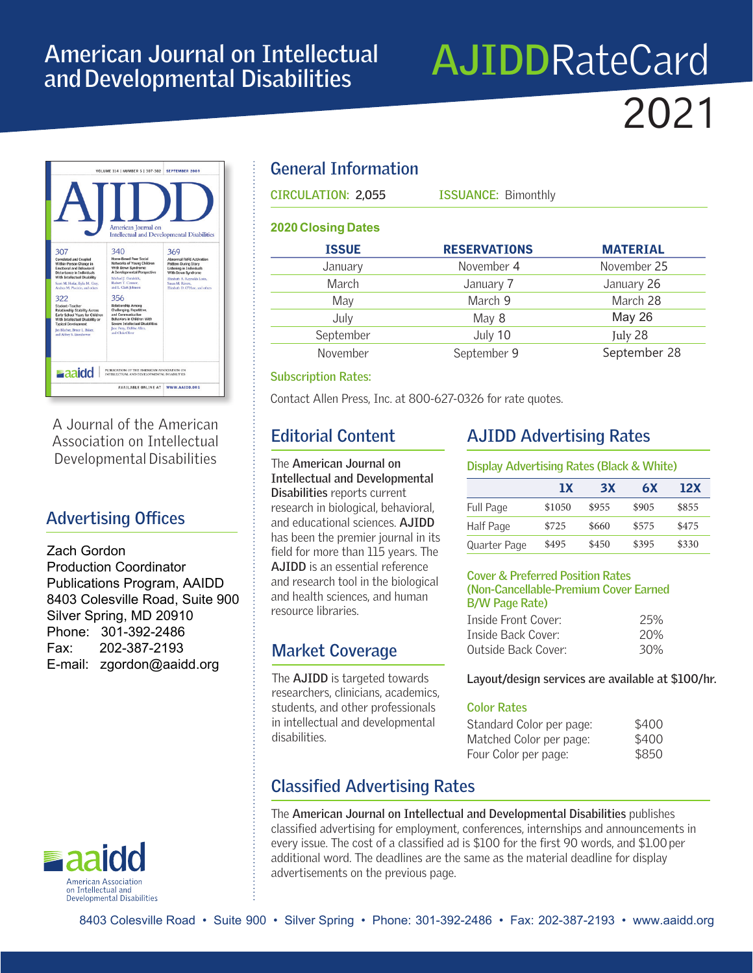## **American Journal on Intellectual and Developmental Disabilities**

# **AJIDD**RateCard 2021



A Journal of the American Association on Intellectual Developmental Disabilities

## **Advertising Offices**

Zach Gordon Production Coordinator Publications Program, AAIDD 8403 Colesville Road, Suite 900 Silver Spring, MD 20910 Phone: 301-392-2486 Fax: 202-387-2193 E-mail: zgordon@aaidd.org



## **General Information**

| <b>CIRCULATION: 2,055</b> | <b>ISSUANCE: Bimonthly</b> |                 |  |
|---------------------------|----------------------------|-----------------|--|
| <b>2020 Closing Dates</b> |                            |                 |  |
| <b>ISSUE</b>              | <b>RESERVATIONS</b>        | <b>MATERIAL</b> |  |
| January                   | November 4                 | November 25     |  |
| March                     | January 7                  | January 26      |  |
| May                       | March 9                    | March 28        |  |
| July                      | May 8                      | <b>May 26</b>   |  |
| September                 | July 10                    | July 28         |  |
| November                  | September 9                | September 28    |  |

#### **Subscription Rates:**

Contact Allen Press, Inc. at 800-627-0326 for rate quotes.

## **Editorial Content**

The **American Journal on Intellectual and Developmental Disabilities** reports current research in biological, behavioral, and educational sciences. **AJIDD** has been the premier journal in its field for more than 115 years. The **AJIDD** is an essential reference and research tool in the biological and health sciences, and human resource libraries.

## **Market Coverage**

The **AJIDD** is targeted towards researchers, clinicians, academics, students, and other professionals in intellectual and developmental disabilities.

## **AJIDD Advertising Rates**

#### **Display Advertising Rates (Black & White)**

|              | 1X     | <b>3X</b> | 6X    | 12X   |
|--------------|--------|-----------|-------|-------|
| Full Page    | \$1050 | \$955     | \$905 | \$855 |
| Half Page    | \$725  | \$660     | \$575 | \$475 |
| Quarter Page | \$495  | \$450     | \$395 | \$330 |

#### **Cover & Preferred Position Rates (Non-Cancellable-Premium Cover Earned B/W Page Rate)**

| Inside Front Cover: | 25% |
|---------------------|-----|
| Tnside Back Cover:  | 20% |
| Outside Back Cover: | 30% |

**Layout/design services are available at \$100/hr.**

#### **Color Rates**

| Standard Color per page: | \$400 |
|--------------------------|-------|
| Matched Color per page:  | \$400 |
| Four Color per page:     | \$850 |

## **Classified Advertising Rates**

The **American Journal on Intellectual and Developmental Disabilities** publishes classified advertising for employment, conferences, internships and announcements in every issue. The cost of a classified ad is \$100 for the first 90 words, and \$1.00 per additional word. The deadlines are the same as the material deadline for display advertisements on the previous page.